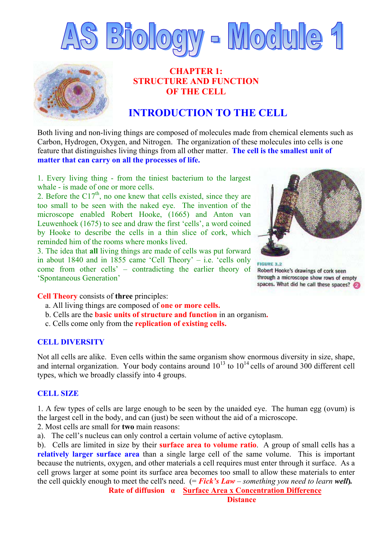



## **CHAPTER 1: STRUCTURE AND FUNCTION OF THE CELL**

# **INTRODUCTION TO THE CELL**

Both living and non-living things are composed of molecules made from chemical elements such as Carbon, Hydrogen, Oxygen, and Nitrogen. The organization of these molecules into cells is one feature that distinguishes living things from all other matter. **The cell is the smallest unit of matter that can carry on all the processes of life.**

1. Every living thing - from the tiniest bacterium to the largest whale - is made of one or more cells.

2. Before the  $C17<sup>th</sup>$ , no one knew that cells existed, since they are too small to be seen with the naked eye. The invention of the microscope enabled Robert Hooke, (1665) and Anton van Leuwenhoek (1675) to see and draw the first 'cells', a word coined by Hooke to describe the cells in a thin slice of cork, which reminded him of the rooms where monks lived.

3. The idea that **all** living things are made of cells was put forward in about 1840 and in 1855 came 'Cell Theory' – i.e. 'cells only come from other cells' – contradicting the earlier theory of 'Spontaneous Generation'



**FIGURE 3.2** Robert Hooke's drawings of cork seen through a microscope show rows of empty spaces. What did he call these spaces?

**Cell Theory** consists of **three** principles:

- a. All living things are composed of **one or more cells.**
- b. Cells are the **basic units of structure and function** in an organism**.**
- c. Cells come only from the **replication of existing cells.**

#### **CELL DIVERSITY**

Not all cells are alike. Even cells within the same organism show enormous diversity in size, shape, and internal organization. Your body contains around  $10^{13}$  to  $10^{14}$  cells of around 300 different cell types, which we broadly classify into 4 groups.

## **CELL SIZE**

1. A few types of cells are large enough to be seen by the unaided eye. The human egg (ovum) is the largest cell in the body, and can (just) be seen without the aid of a microscope.

2. Most cells are small for **two** main reasons:

a). The cell's nucleus can only control a certain volume of active cytoplasm.

b). Cells are limited in size by their **surface area to volume ratio**. A group of small cells has a **relatively larger surface area** than a single large cell of the same volume. This is important because the nutrients, oxygen, and other materials a cell requires must enter through it surface. As a cell grows larger at some point its surface area becomes too small to allow these materials to enter the cell quickly enough to meet the cell's need. (= *Fick's Law – something you need to learn well***)***.*

**Rate of diffusion α Surface Area x Concentration Difference**

 **Distance**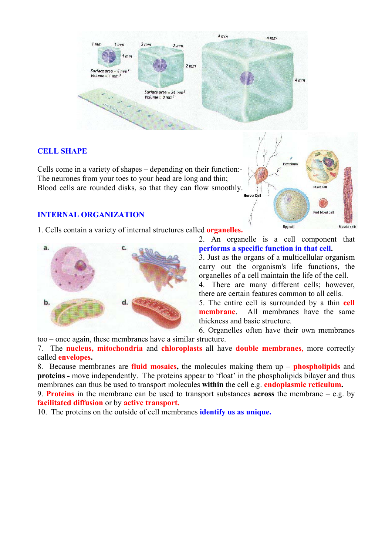

## **CELL SHAPE**

Cells come in a variety of shapes – depending on their function:- The neurones from your toes to your head are long and thin; Blood cells are rounded disks, so that they can flow smoothly.

## **INTERNAL ORGANIZATION**

1. Cells contain a variety of internal structures called **organelles.**



2. An organelle is a cell component that **performs a specific function in that cell.**

3. Just as the organs of a multicellular organism carry out the organism's life functions, the organelles of a cell maintain the life of the cell.

4. There are many different cells; however, there are certain features common to all cells.

5. The entire cell is surrounded by a thin **cell membrane**. All membranes have the same thickness and basic structure.

6. Organelles often have their own membranes

too – once again, these membranes have a similar structure.

7. The **nucleus, mitochondria** and **chloroplasts** all have **double membranes**, more correctly called **envelopes.** 

8. Because membranes are **fluid mosaics**, the molecules making them up – **phospholipids** and **proteins -** move independently. The proteins appear to 'float' in the phospholipids bilayer and thus membranes can thus be used to transport molecules **within** the cell e.g. **endoplasmic reticulum.** 

9. **Proteins** in the membrane can be used to transport substances **across** the membrane – e.g. by **facilitated diffusion** or by **active transport.**

10. The proteins on the outside of cell membranes **identify us as unique.** 

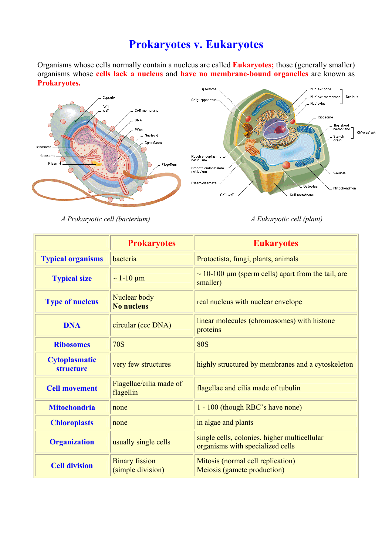# **Prokaryotes v. Eukaryotes**

Organisms whose cells normally contain a nucleus are called **Eukaryotes;** those (generally smaller) organisms whose **cells lack a nucleus** and **have no membrane-bound organelles** are known as **Prokaryotes.**



*A Prokaryotic cell (bacterium) A Eukaryotic cell (plant)* 

|                                   | <b>Prokaryotes</b>                         | <b>Eukaryotes</b>                                                                |  |
|-----------------------------------|--------------------------------------------|----------------------------------------------------------------------------------|--|
| <b>Typical organisms</b>          | bacteria                                   | Protoctista, fungi, plants, animals                                              |  |
| <b>Typical size</b>               | $\sim$ 1-10 µm                             | $\sim$ 10-100 $\mu$ m (sperm cells) apart from the tail, are<br>smaller)         |  |
| <b>Type of nucleus</b>            | Nuclear body<br><b>No nucleus</b>          | real nucleus with nuclear envelope                                               |  |
| <b>DNA</b>                        | circular (ccc DNA)                         | linear molecules (chromosomes) with histone<br>proteins                          |  |
| <b>Ribosomes</b>                  | <b>70S</b>                                 | <b>80S</b>                                                                       |  |
| <b>Cytoplasmatic</b><br>structure | very few structures                        | highly structured by membranes and a cytoskeleton                                |  |
| <b>Cell movement</b>              | Flagellae/cilia made of<br>flagellin       | flagellae and cilia made of tubulin                                              |  |
| <b>Mitochondria</b>               | none                                       | 1 - 100 (though RBC's have none)                                                 |  |
| <b>Chloroplasts</b>               | none                                       | in algae and plants                                                              |  |
| <b>Organization</b>               | usually single cells                       | single cells, colonies, higher multicellular<br>organisms with specialized cells |  |
| <b>Cell division</b>              | <b>Binary fission</b><br>(simple division) | Mitosis (normal cell replication)<br>Meiosis (gamete production)                 |  |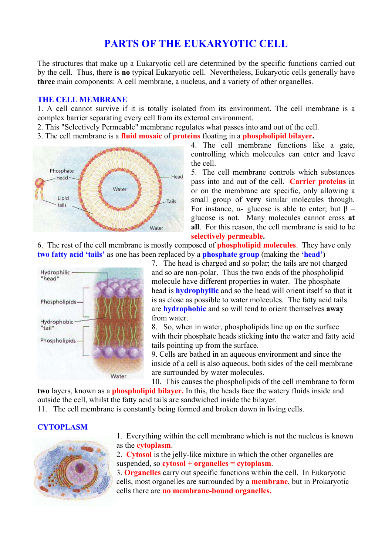## **PARTS OF THE EUKARYOTIC CELL**

The structures that make up a Eukaryotic cell are determined by the specific functions carried out by the cell. Thus, there is **no** typical Eukaryotic cell. Nevertheless, Eukaryotic cells generally have **three** main components: A cell membrane, a nucleus, and a variety of other organelles.

#### **THE CELL MEMBRANE**

1. A cell cannot survive if it is totally isolated from its environment. The cell membrane is a complex barrier separating every cell from its external environment.

- 2. This "Selectively Permeable" membrane regulates what passes into and out of the cell.
- 3. The cell membrane is a **fluid mosaic** of **proteins** floating in a **phospholipid bilayer.**



4. The cell membrane functions like a gate, controlling which molecules can enter and leave the cell.

5. The cell membrane controls which substances pass into and out of the cell. **Carrier proteins** in or on the membrane are specific, only allowing a small group of **very** similar molecules through. For instance,  $\alpha$ - glucose is able to enter; but β – glucose is not. Many molecules cannot cross **at all**. For this reason, the cell membrane is said to be **selectively permeable.**

6. The rest of the cell membrane is mostly composed of **phospholipid molecules**. They have only **two fatty acid 'tails'** as one has been replaced by a **phosphate group** (making the **'head')** 



7. The head is charged and so polar; the tails are not charged and so are non-polar. Thus the two ends of the phospholipid molecule have different properties in water. The phosphate head is **hydrophyllic** and so the head will orient itself so that it is as close as possible to water molecules. The fatty acid tails are **hydrophobic** and so will tend to orient themselves **away**  from water.

8. So, when in water, phospholipids line up on the surface with their phosphate heads sticking **into** the water and fatty a cid tails pointing up from the surface.

9. Cells are bathed in an aqueous environment and since the inside of a cell is also aqueous, both sides of the cell membrane are surrounded by water molecules.

10. This causes the phospholipids of the cell membrane to form **two** layers, known as a **phospholipid bilayer.** In this, the heads face the watery fluids inside and outside the cell, whilst the fatty acid tails are sandwiched inside the bilayer.

11. The cell membrane is constantly being formed and broken down in living cells.

## **CYTOPLASM**



1. Everything within the cell membrane which is not the nucleus is known as the **cytoplasm**.

2. **Cytosol** is the jelly-like mixture in which the other organelles are suspended, so **cytosol + organelles = cytoplasm**.

3. **Organelles** carry out specific functions within the cell. In Eukaryotic cells, most organelles are surrounded by a **membrane**, but in Prokaryotic cells there are **no membrane-bound organelles.**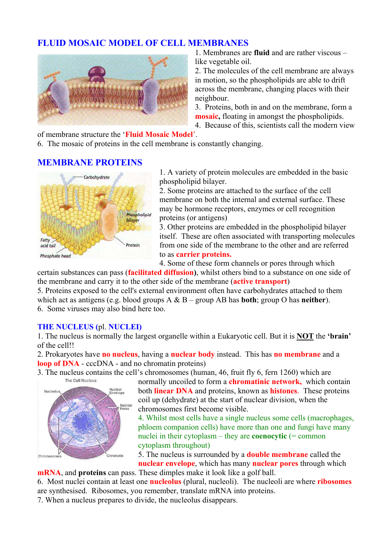## **FLUID MOSAIC MODEL OF CELL MEMBRANES**



1. Membranes are **fluid** and are rather viscous – like vegetable oil.

2. The molecules of the cell membrane are always in motion, so the phospholipids are able to drift across the membrane, changing places with their neighbour.

3. Proteins, both in and on the membrane, form a **mosaic,** floating in amongst the phospholipids.

4. Because of this, scientists call the modern v iew

#### of membrane structure the '**Fluid Mosaic Model**'.

6. The mosaic of proteins in the cell membrane is constantly changing.

## **MEMBRANE PROTEINS**



1. A variety of protein molecules are embedded in the basic phospholipid bilayer.

2. Some proteins are attached to the surface of the cell membrane on both the internal and external surface. These may be hormone receptors, enzymes or cell recognition proteins (or antigens)

itself. These are often associated with transporting molecules 3. Other proteins are embedded in the phospholipid bilayer from one side of the membrane to the other and are referred to as **carrier proteins.**

4. Some of these form channels or pores through which

certain substances can pass (**facilitated diffusion)**, whilst others bind to a substance on one side of the membrane and carry it to the other side of the membrane (**active transport**)

5. Proteins exposed to the cell's external environment often have carbohydrates attached to them which act as antigens (e.g. blood groups A & B – group AB has **both**; group O has **neither**). 6. Some viruses may also bind here too.

## **THE NUCLEUS (**pl. **NUCLEI)**

1. The nucleus is normally the largest organelle within a Eukaryotic cell. But it is **NOT** the **'brain'**  of the cell!!

2. Prokaryotes have **no nucleus**, having a **nuclear body** instead. This has **no membrane** and a **loop of DNA** - cccDNA - and no chromatin proteins)

3. The nucleus contains the cell's chromosomes (human,  $46$ , fruit fly 6, fern 1260) which are the cell Nucleus



normally uncoiled to form a **chromatinic network,** which contain both **linear DNA** and proteins, known as **histones**. These proteins coil up (dehydrate) at the start of nuclear division, when the chromosomes first become visible.

4. Whilst most cells have a single nucleus some cells (macrophages, phloem companion cells) have more than one and fungi have many nuclei in their cytoplasm – they are **coenocytic**  $(=$  common cytoplasm throughout)

5. The nucleus is surrounded by a **double membrane** called the **nuclear envelope**, which has many **nuclear pores** through which **mRNA**, and **proteins** can pass. These dimples make it look like a golf ball.

6. Most nuclei contain at least one **nucleolus** (plural, nucleoli). The nucleoli are where **ribosomes** are synthesised. Ribosomes, you remember, translate mRNA into proteins.

7. When a nucleus prepares to divide, the nucleolus disappears.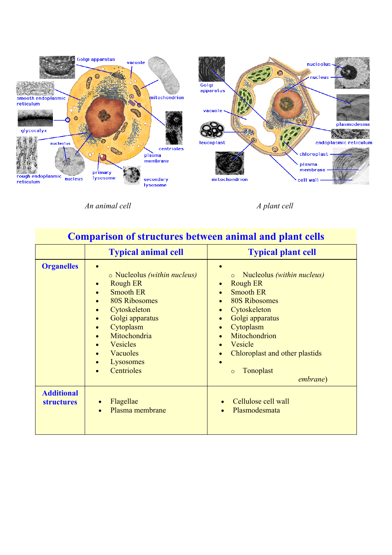

*An animal cell*  $\overline{A}$  *A plant cell* 

| <b>Comparison of structures between animal and plant cells</b> |                                                                                                                                                                                                                                                                                                     |                                                                                                                                                                                                                                                                                                                      |  |  |
|----------------------------------------------------------------|-----------------------------------------------------------------------------------------------------------------------------------------------------------------------------------------------------------------------------------------------------------------------------------------------------|----------------------------------------------------------------------------------------------------------------------------------------------------------------------------------------------------------------------------------------------------------------------------------------------------------------------|--|--|
|                                                                | <b>Typical animal cell</b>                                                                                                                                                                                                                                                                          | <b>Typical plant cell</b>                                                                                                                                                                                                                                                                                            |  |  |
| <b>Organelles</b>                                              | o Nucleolus (within nucleus)<br><b>Rough ER</b><br>$\bullet$<br><b>Smooth ER</b><br>$\bullet$<br><b>80S Ribosomes</b><br>$\bullet$<br>Cytoskeleton<br>$\bullet$<br>Golgi apparatus<br>$\bullet$<br>Cytoplasm<br>$\bullet$<br>Mitochondria<br><b>Vesicles</b><br>Vacuoles<br>Lysosomes<br>Centrioles | Nucleolus (within nucleus)<br><b>Rough ER</b><br><b>Smooth ER</b><br><b>80S Ribosomes</b><br>$\bullet$<br>Cytoskeleton<br>$\bullet$<br>Golgi apparatus<br>$\bullet$<br>Cytoplasm<br>$\bullet$<br>Mitochondrion<br>Vesicle<br>Chloroplast and other plastids<br>$\bullet$<br>Tonoplast<br>$\circ$<br><i>embrane</i> ) |  |  |
| <b>Additional</b><br><b>structures</b>                         | Flagellae<br>Plasma membrane                                                                                                                                                                                                                                                                        | Cellulose cell wall<br>Plasmodesmata                                                                                                                                                                                                                                                                                 |  |  |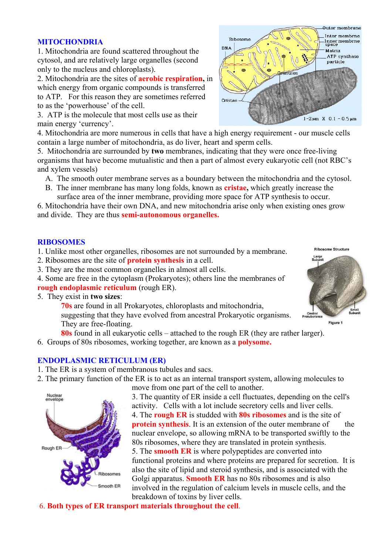#### **MITOCHONDRIA**

1. Mitochondria are found scattered throughout the cytosol, and are relatively large organelles (second only to the nucleus and chloroplasts).

2. Mitochondria are the sites of **aerobic respiration,** in which energy from organic compounds is transferred to ATP. For this reason they are sometimes referred to as the 'powerhouse' of the cell.

3. ATP is the molecule that most cells use as their main energy 'currency'.

4. Mitochondria are more numerous in cells that have a high energy requirement - our muscle cells contain a large number of mitochondria, as do liver, heart and sperm cells.

5. Mitochondria are surrounded by **two** membranes, indicating that they were once free-living organisms that have become mutualistic and then a part of almost every eukaryotic cell (not RBC's and xylem vessels)

- A. The smooth outer membrane serves as a boundary between the mitochondria and the cytosol.
- B. The inner membrane has many long folds, known as **cristae,** which greatly increase the surface area of the inner membrane, providing more space for ATP synthesis to occur.

6. Mitochondria have their own DNA, and new mitochondria arise only when existing ones grow and divide. They are thus **semi-autonomous organelles.**

#### **RIBOSOMES**

1. Unlike most other organelles, ribosomes are not surrounded by a membrane.

- 2. Ribosomes are the site of **protein synthesis** in a cell.
- 3. They are the most common organelles in almost all cells.
- 4. Some are free in the cytoplasm (Prokaryotes); others line the membranes of
- **rough endoplasmic reticulum** (rough ER).
- 5. They exist in **two sizes**:

**70s** are found in all Prokaryotes, chloroplasts and mitochondria, suggesting that they have evolved from ancestral Prokaryotic organisms. They are free-floating.

**80s** found in all eukaryotic cells – attached to the rough ER (they are rather larger).

6. Groups of 80s ribosomes, working together, are known as a **polysome.**

#### **ENDOPLASMIC RETICULUM (ER)**

- 1. The ER is a system of membranous tubules and sacs.
- 2. The primary function of the ER is to act as an internal transport system, allowing molecules to move from one part of the cell to another.



3. The quantity of ER inside a cell fluctuates, depending on the cell's activity. Cells with a lot include secretory cells and liver cells. 4. The **rough ER** is studded with **80s ribosomes** and is the site of **protein synthesis**. It is an extension of the outer membrane of the nuclear envelope, so allowing mRNA to be transported swiftly to the 80s ribosomes, where they are translated in protein synthesis. 5. The **smooth ER** is where polypeptides are converted into functional proteins and where proteins are prepared for secretion. It is also the site of lipid and steroid synthesis, and is associated with the Golgi apparatus. **Smooth ER** has no 80s ribosomes and is also involved in the regulation of calcium levels in muscle cells, and the breakdown of toxins by liver cells.

6. **Both types of ER transport materials throughout the cell**.





Figure 1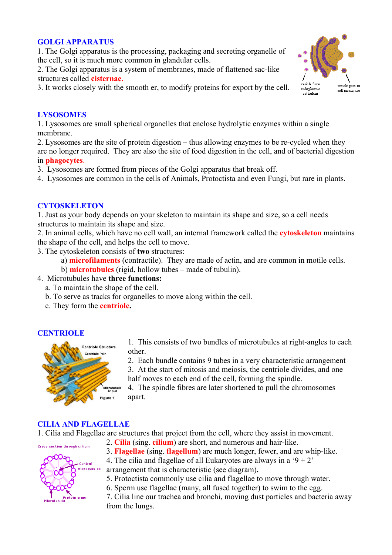#### **GOLGI APPARATUS**

1. The Golgi apparatus is the processing, packaging and secreting organelle of the cell, so it is much more common in glandular cells.

2. The Golgi apparatus is a system of membranes, made of flattened sac-like structures called **cisternae.**

3. It works closely with the smooth er, to modify proteins for export by the cell.



#### **LYSOSOMES**

1. Lysosomes are small spherical organelles that enclose hydrolytic enzymes within a single membrane.

2. Lysosomes are the site of protein digestion – thus allowing enzymes to be re-cycled when they are no longer required. They are also the site of food digestion in the cell, and of bacterial digestion in **phagocytes**.

3. Lysosomes are formed from pieces of the Golgi apparatus that break off.

4. Lysosomes are common in the cells of Animals, Protoctista and even Fungi, but rare in plants.

## **CYTOSKELETON**

1. Just as your body depends on your skeleton to maintain its shape and size, so a cell needs structures to maintain its shape and size.

2. In animal cells, which have no cell wall, an internal framework called the **cytoskeleton** maintains the shape of the cell, and helps the cell to move.

3. The cytoskeleton consists of **two** structures:

a) **microfilaments** (contractile). They are made of actin, and are common in motile cells.

b) **microtubules** (rigid, hollow tubes – made of tubulin).

- 4. Microtubules have **three functions:**
	- a. To maintain the shape of the cell.
	- b. To serve as tracks for organelles to move along within the cell.
	- c. They form the **centriole.**

## **CENTRIOLE**



1. This consists of two bundles of microtubules at right-angles to each other.

2. Each bundle contains 9 tubes in a very characteristic arrangement

3. At the start of mitosis and meiosis, the centriole divides, and one half moves to each end of the cell, forming the spindle.

4. The spindle fibres are later shortened to pull the chromosomes apart.

#### **CILIA AND FLAGELLAE**

1. Cilia and Flagellae are structures that project from the cell, where they assist in movement.



2. **Cilia** (sing. **cilium**) are short, and numerous and hair-like.

3. **Flagellae** (sing. **flagellum**) are much longer, fewer, and are whip-like.

4. The cilia and flagellae of all Eukaryotes are always in a '9 + 2'

arrangement that is characteristic (see diagram)**.**

5. Protoctista commonly use cilia and flagellae to move through water.

6. Sperm use flagellae (many, all fused together) to swim to the egg.

7. Cilia line our trachea and bronchi, moving dust particles and bacteria away from the lungs.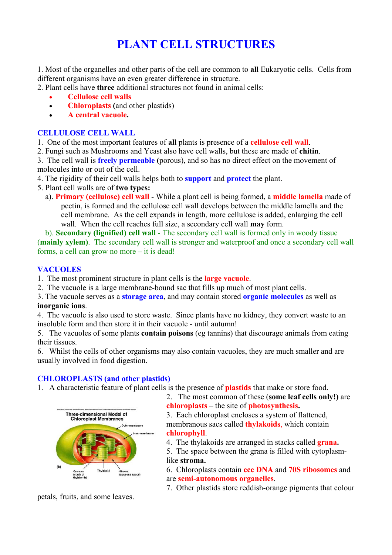# **PLANT CELL STRUCTURES**

1. Most of the organelles and other parts of the cell are common to **all** Eukaryotic cells. Cells from different organisms have an even greater difference in structure.

2. Plant cells have **three** additional structures not found in animal cells:

- **Cellulose cell walls**
- **Chloroplasts (**and other plastids)
- **A central vacuole.**

## **CELLULOSE CELL WALL**

- 1. One of the most important features of **all** plants is presence of a **cellulose cell wall**.
- 2. Fungi such as Mushrooms and Yeast also have cell walls, but these are made of **chitin**.
- 3. The cell wall is **freely permeable (**porous), and so has no direct effect on the movement of molecules into or out of the cell.
- 4. The rigidity of their cell walls helps both to **support** and **protect** the plant.
- 5. Plant cell walls are of **two types:**
	- a). **Primary (cellulose) cell wall** While a plant cell is being formed, a **middle lamella** made of pectin, is formed and the cellulose cell wall develops between the middle lamella and the cell membrane. As the cell expands in length, more cellulose is added, enlarging the cell wall. When the cell reaches full size, a secondary cell wall **may** form.

 b). **Secondary (lignified) cell wall** - The secondary cell wall is formed only in woody tissue (**mainly xylem)**. The secondary cell wall is stronger and waterproof and once a secondary cell wall forms, a cell can grow no more – it is dead!

## **VACUOLES**

- 1. The most prominent structure in plant cells is the **large vacuole**.
- 2. The vacuole is a large membrane-bound sac that fills up much of most plant cells.
- 3. The vacuole serves as a **storage area**, and may contain stored **organic molecules** as well as **inorganic ions**.

4. The vacuole is also used to store waste. Since plants have no kidney, they convert waste to an insoluble form and then store it in their vacuole - until autumn!

5. The vacuoles of some plants **contain poisons** (eg tannins) that discourage animals from eating their tissues.

6. Whilst the cells of other organisms may also contain vacuoles, they are much smaller and are usually involved in food digestion.

## **CHLOROPLASTS (and other plastids)**

1. A characteristic feature of plant cells is the presence of **plastids** that make or store food.



2. The most common of these (**some leaf cells only!)** are **chloroplasts** – the site of **photosynthesis.**

3. Each chloroplast encloses a system of flattened, membranous sacs called **thylakoids**, which contain **chlorophyll**.

4. The thylakoids are arranged in stacks called **grana.** 

5. The space between the grana is filled with cytoplasmlike **stroma.** 

6. Chloroplasts contain **ccc DNA** and **70S ribosomes** and are **semi-autonomous organelles**.

7. Other plastids store reddish-orange pigments that colour

petals, fruits, and some leaves.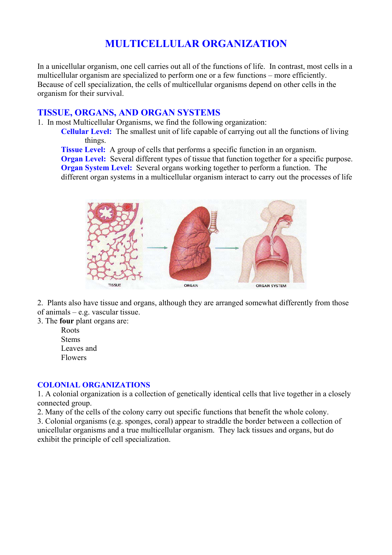# **MULTICELLULAR ORGANIZATION**

In a unicellular organism, one cell carries out all of the functions of life. In contrast, most cells in a multicellular organism are specialized to perform one or a few functions – more efficiently. Because of cell specialization, the cells of multicellular organisms depend on other cells in the organism for their survival.

## **TISSUE, ORGANS, AND ORGAN SYSTEMS**

1. In most Multicellular Organisms, we find the following organization:

**Cellular Level:** The smallest unit of life capable of carrying out all the functions of living things.

**Tissue Level:** A group of cells that performs a specific function in an organism.

**Organ Level:** Several different types of tissue that function together for a specific purpose.

**Organ System Level:** Several organs working together to perform a function. The

different organ systems in a multicellular organism interact to carry out the processes of life



2. Plants also have tissue and organs, although they are arranged somewhat differently from those of animals – e.g. vascular tissue.

3. The **four** plant organs are:

Roots **Stems** Leaves and Flowers

#### **COLONIAL ORGANIZATIONS**

1. A colonial organization is a collection of genetically identical cells that live together in a closely connected group.

2. Many of the cells of the colony carry out specific functions that benefit the whole colony.

3. Colonial organisms (e.g. sponges, coral) appear to straddle the border between a collection of unicellular organisms and a true multicellular organism. They lack tissues and organs, but do exhibit the principle of cell specialization.